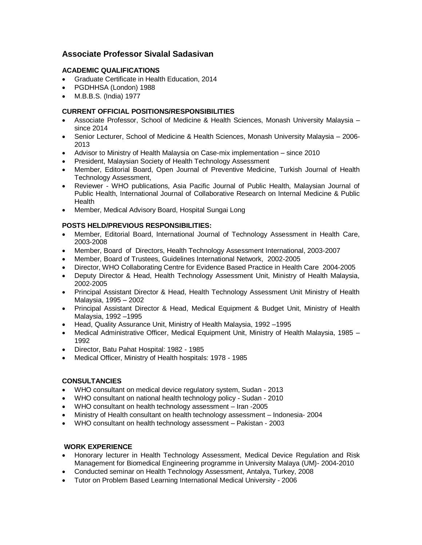# **Associate Professor Sivalal Sadasivan**

#### **ACADEMIC QUALIFICATIONS**

- Graduate Certificate in Health Education, 2014
- PGDHHSA (London) 1988
- M.B.B.S. (India) 1977

# **CURRENT OFFICIAL POSITIONS/RESPONSIBILITIES**

- Associate Professor, School of Medicine & Health Sciences, Monash University Malaysia since 2014
- Senior Lecturer, School of Medicine & Health Sciences, Monash University Malaysia 2006- 2013
- Advisor to Ministry of Health Malaysia on Case-mix implementation since 2010
- President, Malaysian Society of Health Technology Assessment
- Member, Editorial Board, Open Journal of Preventive Medicine, Turkish Journal of Health Technology Assessment,
- Reviewer WHO publications, Asia Pacific Journal of Public Health, Malaysian Journal of Public Health, International Journal of Collaborative Research on Internal Medicine & Public **Health**
- Member, Medical Advisory Board, Hospital Sungai Long

### **POSTS HELD/PREVIOUS RESPONSIBILITIES:**

- Member, Editorial Board, International Journal of Technology Assessment in Health Care, 2003-2008
- Member, Board of Directors, Health Technology Assessment International, 2003-2007
- Member, Board of Trustees, Guidelines International Network, 2002-2005
- Director, WHO Collaborating Centre for Evidence Based Practice in Health Care 2004-2005
- Deputy Director & Head, Health Technology Assessment Unit, Ministry of Health Malaysia, 2002-2005
- Principal Assistant Director & Head, Health Technology Assessment Unit Ministry of Health Malaysia, 1995 – 2002
- Principal Assistant Director & Head, Medical Equipment & Budget Unit, Ministry of Health Malaysia, 1992 –1995
- Head, Quality Assurance Unit, Ministry of Health Malaysia, 1992 –1995
- Medical Administrative Officer, Medical Equipment Unit, Ministry of Health Malaysia, 1985 1992
- Director, Batu Pahat Hospital: 1982 1985
- Medical Officer, Ministry of Health hospitals: 1978 1985

# **CONSULTANCIES**

- WHO consultant on medical device regulatory system, Sudan 2013
- WHO consultant on national health technology policy Sudan 2010
- WHO consultant on health technology assessment Iran -2005
- Ministry of Health consultant on health technology assessment Indonesia- 2004
- WHO consultant on health technology assessment Pakistan 2003

#### **WORK EXPERIENCE**

- Honorary lecturer in Health Technology Assessment, Medical Device Regulation and Risk Management for Biomedical Engineering programme in University Malaya (UM)- 2004-2010
- Conducted seminar on Health Technology Assessment, Antalya, Turkey, 2008
- Tutor on Problem Based Learning International Medical University 2006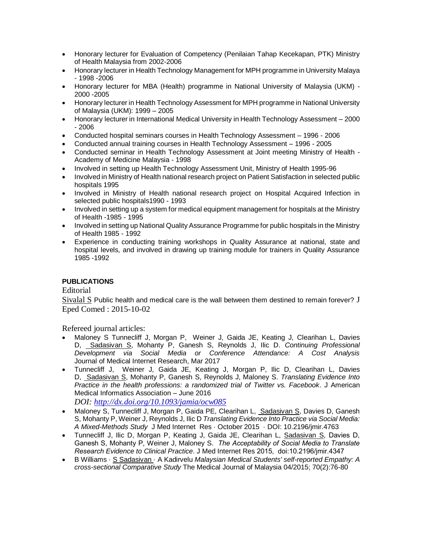- Honorary lecturer for Evaluation of Competency (Penilaian Tahap Kecekapan, PTK) Ministry of Health Malaysia from 2002-2006
- Honorary lecturer in Health Technology Management for MPH programme in University Malaya - 1998 -2006
- Honorary lecturer for MBA (Health) programme in National University of Malaysia (UKM) 2000 -2005
- Honorary lecturer in Health Technology Assessment for MPH programme in National University of Malaysia (UKM): 1999 – 2005
- Honorary lecturer in International Medical University in Health Technology Assessment 2000 - 2006
- Conducted hospital seminars courses in Health Technology Assessment 1996 2006
- Conducted annual training courses in Health Technology Assessment 1996 2005
- Conducted seminar in Health Technology Assessment at Joint meeting Ministry of Health Academy of Medicine Malaysia - 1998
- Involved in setting up Health Technology Assessment Unit, Ministry of Health 1995-96
- Involved in Ministry of Health national research project on Patient Satisfaction in selected public hospitals 1995
- Involved in Ministry of Health national research project on Hospital Acquired Infection in selected public hospitals1990 - 1993
- Involved in setting up a system for medical equipment management for hospitals at the Ministry of Health -1985 - 1995
- Involved in setting up National Quality Assurance Programme for public hospitals in the Ministry of Health 1985 - 1992
- Experience in conducting training workshops in Quality Assurance at national, state and hospital levels, and involved in drawing up training module for trainers in Quality Assurance 1985 -1992

# **PUBLICATIONS**

# Editorial

Sivalal S Public health and medical care is the wall between them destined to remain forever? J Eped Comed : 2015-10-02

Refereed journal articles:

- [Maloney](https://www.researchgate.net/researcher/59316726_Stephen_Maloney) S [Tunnecliff](https://www.researchgate.net/researcher/2074622604_Jacqueline_Tunnecliff) J, [Morgan](https://www.researchgate.net/researcher/2083553814_Prue_Morgan) P, [Weiner](https://www.researchgate.net/researcher/2074629389_John_Weiner) J, [Gaida](https://www.researchgate.net/researcher/2083519715_Jamie_E_Gaida) JE, Keating J, [Clearihan](https://www.researchgate.net/researcher/2083572193_Lyn_Clearihan) L, [Davies](https://www.researchgate.net/researcher/2074625097_David_Davies) D, [Sadasivan](https://www.researchgate.net/researcher/2083587313_Sivalal_Sadasivan) S, [Mohanty](https://www.researchgate.net/researcher/2042180508_Patitapaban_Mohanty) P, [Ganesh](https://www.researchgate.net/researcher/2074618197_Shankar_Ganesh) S, [Reynolds](https://www.researchgate.net/researcher/2074628250_John_Reynolds) J, [Ilic](https://www.researchgate.net/researcher/39047100_Dragan_Ilic) D. *[Continuing Professional](https://www.researchgate.net/publication/315703682_Continuing_Professional_Development_via_Social_Media_or_Conference_Attendance_A_Cost_Analysis?_iepl%5BviewId%5D=eCU4ODxV40hmcz2GDSaT4XGd&_iepl%5BprofilePublicationItemVariant%5D=default&_iepl%5Bcontexts%5D%5B0%5D=prfpi&_iepl%5BtargetEntityId%5D=PB%3A315703682&_iepl%5BinteractionType%5D=publicationTitle)  [Development via Social Media or Conference Attendance: A Cost Analysis](https://www.researchgate.net/publication/315703682_Continuing_Professional_Development_via_Social_Media_or_Conference_Attendance_A_Cost_Analysis?_iepl%5BviewId%5D=eCU4ODxV40hmcz2GDSaT4XGd&_iepl%5BprofilePublicationItemVariant%5D=default&_iepl%5Bcontexts%5D%5B0%5D=prfpi&_iepl%5BtargetEntityId%5D=PB%3A315703682&_iepl%5BinteractionType%5D=publicationTitle)* Journal of Medical Internet Research, Mar 2017
- [Tunnecliff](https://www.researchgate.net/researcher/2074622604_Jacqueline_Tunnecliff) J, [Weiner](https://www.researchgate.net/researcher/2074629389_John_Weiner) J, [Gaida](https://www.researchgate.net/researcher/2083519715_Jamie_E_Gaida) JE, Keating J, [Morgan](https://www.researchgate.net/researcher/2083553814_Prue_Morgan) P, [Ilic](https://www.researchgate.net/researcher/39047100_Dragan_Ilic) D, [Clearihan](https://www.researchgate.net/researcher/2083572193_Lyn_Clearihan) L, [Davies](https://www.researchgate.net/researcher/2074625097_David_Davies) D, [Sadasivan](https://www.researchgate.net/researcher/2083587313_Sivalal_Sadasivan) S, [Mohanty](https://www.researchgate.net/researcher/2042180508_Patitapaban_Mohanty) P, [Ganesh](https://www.researchgate.net/researcher/2074618197_Shankar_Ganesh) S, [Reynolds](https://www.researchgate.net/researcher/2074628250_John_Reynolds) J, [Maloney](https://www.researchgate.net/researcher/59316726_Stephen_Maloney) S. *Translating Evidence Into Practice in the health professions: a randomized trial of Twitter vs. Facebook*. J American Medical Informatics Association – June 2016

*DOI:<http://dx.doi.org/10.1093/jamia/ocw085>*

- [Maloney](https://www.researchgate.net/researcher/59316726_Stephen_Maloney) S, [Tunnecliff](https://www.researchgate.net/researcher/2074622604_Jacqueline_Tunnecliff) J, [Morgan](https://www.researchgate.net/researcher/2083553814_Prue_Morgan) P, [Gaida](https://www.researchgate.net/researcher/2083519715_Jamie_E_Gaida) PE, [Clearihan](https://www.researchgate.net/researcher/2083572193_Lyn_Clearihan) L, [Sadasivan](https://www.researchgate.net/researcher/2083587313_Sivalal_Sadasivan) S, [Davies](https://www.researchgate.net/researcher/2074625097_David_Davies) D, [Ganesh](https://www.researchgate.net/researcher/2074618197_Shankar_Ganesh) S, [Mohanty](https://www.researchgate.net/researcher/2042180508_Patitapaban_Mohanty) P[, Weiner](https://www.researchgate.net/researcher/2074629389_John_Weiner) J[, Reynolds](https://www.researchgate.net/researcher/2074628250_John_Reynolds) J[, Ilic](https://www.researchgate.net/researcher/39047100_Dragan_Ilic) D *[Translating Evidence Into Practice via Social](https://www.researchgate.net/publication/283243008_Translating_Evidence_Into_Practice_via_Social_Media_A_Mixed-Methods_Study) [Media:](https://www.researchgate.net/publication/283243008_Translating_Evidence_Into_Practice_via_Social_Media_A_Mixed-Methods_Study)  [A Mixed-Methods Study](https://www.researchgate.net/publication/283243008_Translating_Evidence_Into_Practice_via_Social_Media_A_Mixed-Methods_Study)* J Med Internet Res · October 2015 [· DOI: 10.2196/jmir.4763](https://www.researchgate.net/publication/283243008_Translating_Evidence_Into_Practice_via_Social_Media_A_Mixed-Methods_Study)
- Tunnecliff J, Ilic D, Morgan P, Keating J, Gaida JE, Clearihan L, Sadasivan S, Davies D, Ganesh S, Mohanty P, Weiner J, Maloney S. *The Acceptability of Social Media to Translate Research Evidence to Clinical Practice*. J Med Internet Res 2015, doi:10.2196/jmir.4347
- [B Williams](https://www.researchgate.net/researcher/39994623_B_Williams) · S Sadasivan · [A Kadirvelu](https://www.researchgate.net/researcher/33435552_A_Kadirvelu) *[Malaysian Medical Students' self-reported Empathy: A](https://www.researchgate.net/publication/279988430_Malaysian_Medical_Students%27_self-reported_Empathy_A_cross-sectional_Comparative_Study?ev=prf_pub)  [cross-sectional Comparative Study](https://www.researchgate.net/publication/279988430_Malaysian_Medical_Students%27_self-reported_Empathy_A_cross-sectional_Comparative_Study?ev=prf_pub)* The Medical Journal of Malaysia 04/2015; 70(2):76-80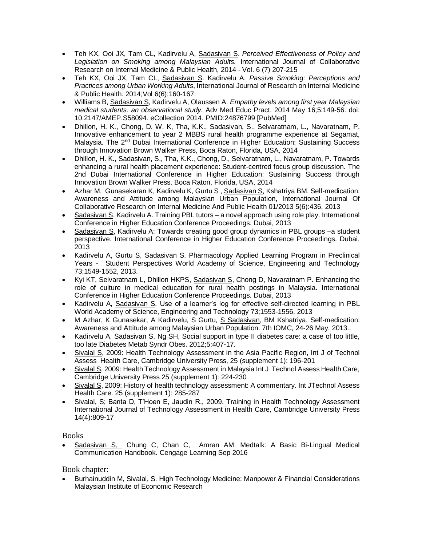- Teh KX, Ooi JX, Tam CL, Kadirvelu A, Sadasivan S. *Perceived Effectiveness of Policy and Legislation on Smoking among Malaysian Adults.* International Journal of Collaborative Research on Internal Medicine & Public Health, 2014 - Vol. 6 (7) 207-215
- Teh KX, Ooi JX, Tam CL, Sadasivan S. Kadirvelu A. *[Passive Smoking: Perceptions and](https://www.researchgate.net/publication/263470844_Passive_Smoking_Perceptions_and_Practices_among_Urban_Working_Adults?ev=prf_pub)  [Practices among Urban Working Adults](https://www.researchgate.net/publication/263470844_Passive_Smoking_Perceptions_and_Practices_among_Urban_Working_Adults?ev=prf_pub)*, International Journal of Research on Internal Medicine & Public Health. 2014;Vol 6(6);160-167.
- Williams B, Sadasivan S, Kadirvelu A, Olaussen A. *[Empathy levels among first year Malaysian](http://www.ncbi.nlm.nih.gov/pubmed/24876799)  [medical students: an observational study.](http://www.ncbi.nlm.nih.gov/pubmed/24876799)* Adv Med Educ Pract. 2014 May 16;5:149-56. doi: 10.2147/AMEP.S58094. eCollection 2014. PMID:24876799 [PubMed]
- Dhillon, H. K., [Chong, D. W. K, Tha, K.K., Sadasivan, S., Selvaratnam, L., Navaratnam, P.](https://www.researchgate.net/researcher/2024653147_Mohamed_Irfadh/)  [Innovative enhancement to year 2 MBBS rural health programme experience at Segamat,](https://www.researchgate.net/researcher/2024653147_Mohamed_Irfadh/)  Malaysia. The 2<sup>nd</sup> Dubai International Conference in Higher Education: Sustaining Success [through Innovation Brown Walker Press, Boca Raton, Florida, USA, 2014](https://www.researchgate.net/researcher/2024653147_Mohamed_Irfadh/)
- Dhillon, H. K., Sadasivan, S., Tha, K.K., Chong, D., Selvaratnam, L., Navaratnam, P. Towards [enhancing a rural health placement experience: Student-centred focus group discussion. The](https://www.researchgate.net/researcher/2024653147_Mohamed_Irfadh/)  [2nd Dubai International Conference in Higher Education: Sustaining Success through](https://www.researchgate.net/researcher/2024653147_Mohamed_Irfadh/)  [Innovation Brown Walker Press, Boca Raton, Florida, USA, 2014](https://www.researchgate.net/researcher/2024653147_Mohamed_Irfadh/)
- [Azhar M](https://www.researchgate.net/researcher/2024653147_Mohamed_Irfadh/), [Gunasekaran](https://www.researchgate.net/researcher/2024976287_Kabisha_Gunasekaran/) K, Kadirvelu K, [Gurtu](https://www.researchgate.net/researcher/2008780903_Sunil_Gurtu/) S , [Sadasivan](https://www.researchgate.net/researcher/2024480936_Sivalal_Sadasivan/) S, [Kshatriya](https://www.researchgate.net/researcher/2024550142_Bharti_Madanlal_Kshatriya/) BM[. Self-medication:](http://www.researchgate.net/publication/251879435_Self-medication_Awareness_and_Attitude_among_Malaysian_Urban_Population?accountKey=Amudha_Kadirvelu&ch=reg&cp=re215_x_p7&pli=1&loginT=vHcbaZ3baPtn_r5-IGQ2JwwtxSlC6iauu9WxgKnFxfo,)  [Awareness and Attitude among Malaysian Urban Population,](http://www.researchgate.net/publication/251879435_Self-medication_Awareness_and_Attitude_among_Malaysian_Urban_Population?accountKey=Amudha_Kadirvelu&ch=reg&cp=re215_x_p7&pli=1&loginT=vHcbaZ3baPtn_r5-IGQ2JwwtxSlC6iauu9WxgKnFxfo,) International Journal Of Collaborative Research on Internal Medicine And Public Health 01/2013 5(6):436, 2013
- Sadasivan S, Kadirvelu A. Training PBL tutors a novel approach using role play. International Conference in Higher Education Conference Proceedings. Dubai, 2013
- Sadasivan S, Kadirvelu A: Towards creating good group dynamics in PBL groups –a student perspective. International Conference in Higher Education Conference Proceedings. Dubai, 2013
- Kadirvelu A, Gurtu S, Sadasivan S. Pharmacology Applied Learning Program in Preclinical Years - Student Perspectives World Academy of Science, Engineering and Technology 73;1549-1552, 2013.
- Kyi KT, Selvaratnam L, Dhillon HKPS, Sadasivan S, Chong D, Navaratnam P. Enhancing the role of culture in medical education for rural health postings in Malaysia. International Conference in Higher Education Conference Proceedings. Dubai, 2013
- Kadirvelu A, Sadasivan S. Use of a learner's log for effective self-directed learning in PBL World Academy of Science, Engineering and Technology 73;1553-1556, 2013
- M Azhar, K Gunasekar, A Kadirvelu, S Gurtu, S Sadasivan, BM Kshatriya. Self-medication: Awareness and Attitude among Malaysian Urban Population. 7th IOMC, 24-26 May, 2013..
- Kadirvelu A, Sadasivan S, Ng SH, Social support in type II diabetes care: a case of too little, too late Diabetes Metab Syndr Obes. 2012;5:407-17.
- Sivalal S, 2009: Health Technology Assessment in the Asia Pacific Region, Int J of Technol Assess Health Care, Cambridge University Press, 25 (supplement 1): 196-201
- Sivalal S, 2009: Health Technology Assessment in Malaysia Int J Technol Assess Health Care, Cambridge University Press 25 (supplement 1): 224-230
- Sivalal S, 2009: History of health technology assessment: A commentary. Int JTechnol Assess Health Care. 25 (supplement 1): 285-287
- Sivalal, S; Banta D, T'Hoen E, Jaudin R., 2009. Training in Health Technology Assessment International Journal of Technology Assessment in Health Care, Cambridge University Press 14(4):809-17

Books

 Sadasivan [S,](https://www.researchgate.net/profile/Sivalal_Sadasivan?_iepl%5BviewId%5D=eCU4ODxV40hmcz2GDSaT4XGd&_iepl%5BprofilePublicationItemVariant%5D=default&_iepl%5Bcontexts%5D%5B0%5D=prfpi&_iepl%5BtargetEntityId%5D=PB%3A309040259&_iepl%5BinteractionType%5D=publicationViewCoAuthorProfile) Chung [C, Chan](https://www.researchgate.net/scientific-contributions/2116550376_Carole_Chung?_iepl%5BviewId%5D=eCU4ODxV40hmcz2GDSaT4XGd&_iepl%5BprofilePublicationItemVariant%5D=default&_iepl%5Bcontexts%5D%5B0%5D=prfpi&_iepl%5BtargetEntityId%5D=PB%3A309040259&_iepl%5BinteractionType%5D=publicationViewCoAuthorProfile) C, [Amran](https://www.researchgate.net/scientific-contributions/2116544454_Abdullah_Muhaimin_Amran?_iepl%5BviewId%5D=eCU4ODxV40hmcz2GDSaT4XGd&_iepl%5BprofilePublicationItemVariant%5D=default&_iepl%5Bcontexts%5D%5B0%5D=prfpi&_iepl%5BtargetEntityId%5D=PB%3A309040259&_iepl%5BinteractionType%5D=publicationViewCoAuthorProfile) AM. [Medtalk: A Basic Bi-Lingual Medical](https://www.researchgate.net/publication/309040259_Medtalk_A_Basic_Bi-Lingual_Medical_Communication_Handbook?_iepl%5BviewId%5D=eCU4ODxV40hmcz2GDSaT4XGd&_iepl%5BprofilePublicationItemVariant%5D=default&_iepl%5Bcontexts%5D%5B0%5D=prfpi&_iepl%5BtargetEntityId%5D=PB%3A309040259&_iepl%5BinteractionType%5D=publicationTitle)  [Communication Handbook.](https://www.researchgate.net/publication/309040259_Medtalk_A_Basic_Bi-Lingual_Medical_Communication_Handbook?_iepl%5BviewId%5D=eCU4ODxV40hmcz2GDSaT4XGd&_iepl%5BprofilePublicationItemVariant%5D=default&_iepl%5Bcontexts%5D%5B0%5D=prfpi&_iepl%5BtargetEntityId%5D=PB%3A309040259&_iepl%5BinteractionType%5D=publicationTitle) Cengage Learning Sep 2016

Book chapter:

 Burhainuddin M, Sivalal, S. High Technology Medicine: Manpower & Financial Considerations Malaysian Institute of Economic Research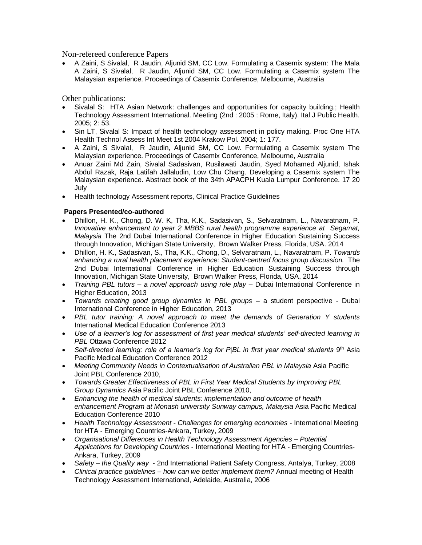Non-refereed conference Papers

 A Zaini, S Sivalal, R Jaudin, Aljunid SM, CC Low. Formulating a Casemix system: The Mala A Zaini, S Sivalal, R Jaudin, Aljunid SM, CC Low. Formulating a Casemix system The Malaysian experience. Proceedings of Casemix Conference, Melbourne, Australia

Other publications:

- Sivalal S: HTA Asian Network: challenges and opportunities for capacity building.; Health Technology Assessment International. Meeting (2nd : 2005 : Rome, Italy). Ital J Public Health. 2005; 2: 53.
- Sin LT, Sivalal S: Impact of health technology assessment in policy making. Proc One HTA Health Technol Assess Int Meet 1st 2004 Krakow Pol. 2004; 1: 177.
- A Zaini, S Sivalal, R Jaudin, Aljunid SM, CC Low. Formulating a Casemix system The Malaysian experience. Proceedings of Casemix Conference, Melbourne, Australia
- Anuar Zaini Md Zain, Sivalal Sadasivan, Rusilawati Jaudin, Syed Mohamed Aljunid, Ishak Abdul Razak, Raja Latifah Jallaludin, Low Chu Chang. Developing a Casemix system The Malaysian experience. Abstract book of the 34th APACPH Kuala Lumpur Conference. 17 20 July
- Health technology Assessment reports, Clinical Practice Guidelines

#### **Papers Presented/co-authored**

- Dhillon, H. K., Chong, D. W. K, Tha, K.K., Sadasivan, S., Selvaratnam, L., Navaratnam, P. *Innovative enhancement to year 2 MBBS rural health programme experience at Segamat, Malaysia* The 2nd Dubai International Conference in Higher Education Sustaining Success through Innovation, Michigan State University, Brown Walker Press, Florida, USA. 2014
- Dhillon, H. K., Sadasivan, S., Tha, K.K., Chong, D., Selvaratnam, L., Navaratnam, P. *Towards enhancing a rural health placement experience: Student-centred focus group discussion.* The 2nd Dubai International Conference in Higher Education Sustaining Success through Innovation, Michigan State University, Brown Walker Press, Florida, USA, 2014
- *Training PBL tutors – a novel approach using role play* Dubai International Conference in Higher Education, 2013
- *Towards creating good group dynamics in PBL groups* a student perspective Dubai International Conference in Higher Education, 2013
- *PBL tutor training: A novel approach to meet the demands of Generation Y students* International Medical Education Conference 2013
- *Use of a learner's log for assessment of first year medical students' self-directed learning in PBL* Ottawa Conference 2012
- Self-directed learning: role of a learner's log for P|BL in first year medical students 9<sup>th</sup> Asia Pacific Medical Education Conference 2012
- *Meeting Community Needs in Contextualisation of Australian PBL in Malaysia* Asia Pacific Joint PBL Conference 2010,
- *Towards Greater Effectiveness of PBL in First Year Medical Students by Improving PBL Group Dynamics* Asia Pacific Joint PBL Conference 2010,
- *Enhancing the health of medical students: implementation and outcome of health enhancement Program at Monash university Sunway campus, Malaysia* Asia Pacific Medical Education Conference 2010
- *Health Technology Assessment - Challenges for emerging economies -* International Meeting for HTA - Emerging Countries-Ankara, Turkey, 2009
- *Organisational Differences in Health Technology Assessment Agencies – Potential Applications for Developing Countries* - International Meeting for HTA - Emerging Countries-Ankara, Turkey, 2009
- *Safety – the Quality way* 2nd International Patient Safety Congress, Antalya, Turkey, 2008
- *Clinical practice guidelines – how can we better implement them?* Annual meeting of Health Technology Assessment International, Adelaide, Australia, 2006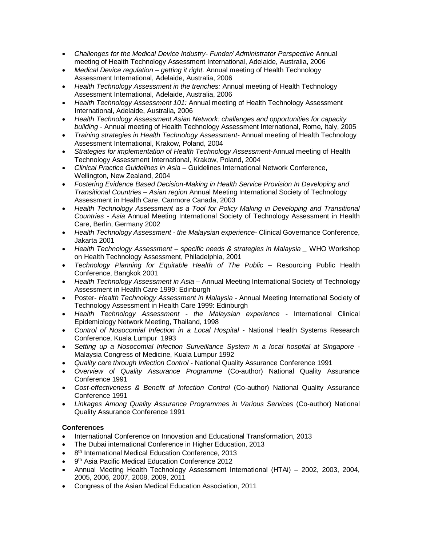- *Challenges for the Medical Device Industry- Funder/ Administrator Perspective* Annual meeting of Health Technology Assessment International, Adelaide, Australia, 2006
- *Medical Device regulation – getting it right.* Annual meeting of Health Technology Assessment International, Adelaide, Australia, 2006
- *Health Technology Assessment in the trenches:* Annual meeting of Health Technology Assessment International, Adelaide, Australia, 2006
- *Health Technology Assessment 101:* Annual meeting of Health Technology Assessment International, Adelaide, Australia, 2006
- *Health Technology Assessment Asian Network: challenges and opportunities for capacity building* - Annual meeting of Health Technology Assessment International, Rome, Italy, 2005
- *Training strategies in Health Technology Assessment-* Annual meeting of Health Technology Assessment International, Krakow, Poland, 2004
- *Strategies for implementation of Health Technology Assessment*-Annual meeting of Health Technology Assessment International, Krakow, Poland, 2004
- *Clinical Practice Guidelines in Asia* Guidelines International Network Conference, Wellington, New Zealand, 2004
- *Fostering Evidence Based Decision-Making in Health Service Provision In Developing and Transitional Countries – Asian region* Annual Meeting International Society of Technology Assessment in Health Care, Canmore Canada, 2003
- *Health Technology Assessment as a Tool for Policy Making in Developing and Transitional Countries - Asia* Annual Meeting International Society of Technology Assessment in Health Care, Berlin, Germany 2002
- *Health Technology Assessment - the Malaysian experience-* Clinical Governance Conference, Jakarta 2001
- *Health Technology Assessment – specific needs & strategies in Malaysia \_* WHO Workshop on Health Technology Assessment, Philadelphia, 2001
- *Technology Planning for Equitable Health of The Public –* Resourcing Public Health Conference, Bangkok 2001
- *Health Technology Assessment in Asia*  Annual Meeting International Society of Technology Assessment in Health Care 1999: Edinburgh
- Poster- *Health Technology Assessment in Malaysia -* Annual Meeting International Society of Technology Assessment in Health Care 1999: Edinburgh
- *Health Technology Assessment - the Malaysian experience* International Clinical Epidemiology Network Meeting, Thailand, 1998
- *Control of Nosocomial Infection in a Local Hospital* National Health Systems Research Conference, Kuala Lumpur 1993
- *Setting up a Nosocomial Infection Surveillance System in a local hospital at Singapore* Malaysia Congress of Medicine, Kuala Lumpur 1992
- *Quality care through Infection Control* National Quality Assurance Conference 1991
- *Overview of Quality Assurance Programme* (Co-author) National Quality Assurance Conference 1991
- *Cost-effectiveness & Benefit of Infection Control* (Co-author) National Quality Assurance Conference 1991
- *Linkages Among Quality Assurance Programmes in Various Services* (Co-author) National Quality Assurance Conference 1991

# **Conferences**

- International Conference on Innovation and Educational Transformation, 2013
- The Dubai international Conference in Higher Education, 2013
- 8<sup>th</sup> International Medical Education Conference, 2013
- 9<sup>th</sup> Asia Pacific Medical Education Conference 2012
- Annual Meeting Health Technology Assessment International (HTAi) 2002, 2003, 2004, 2005, 2006, 2007, 2008, 2009, 2011
- Congress of the Asian Medical Education Association, 2011